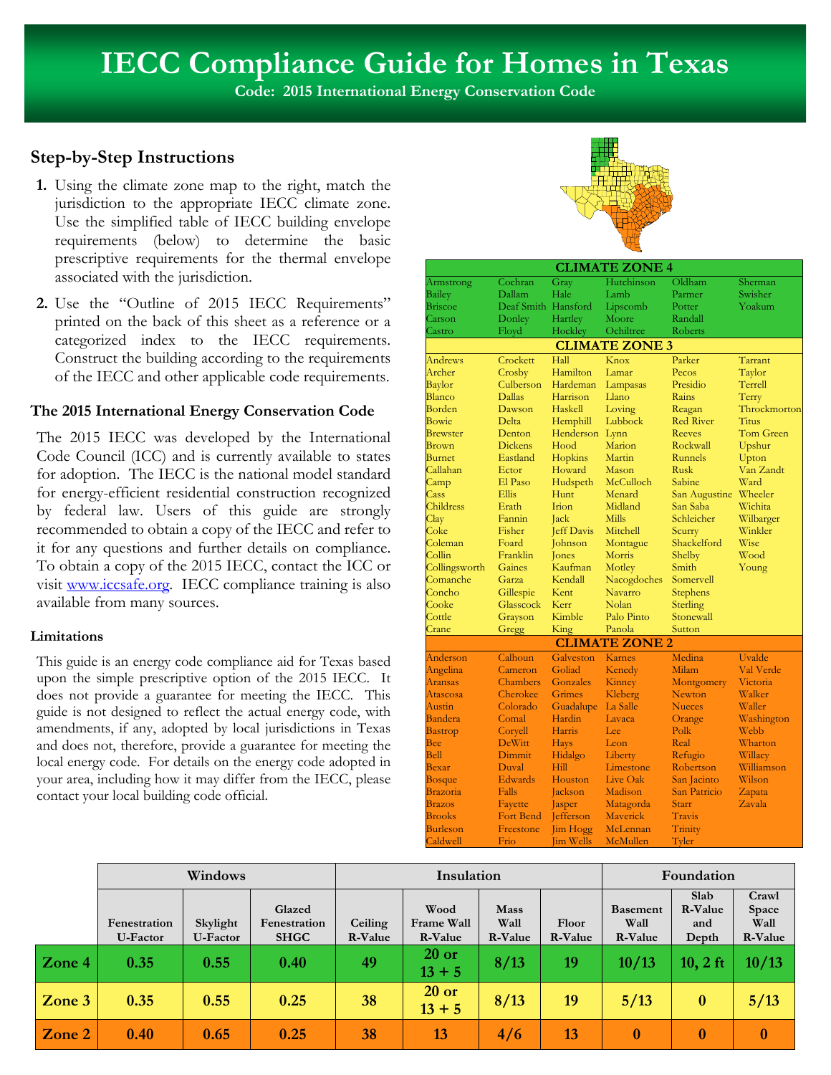# **IECC Compliance Guide for Homes in Texas**

**Code: 2015 International Energy Conservation Code**

### **Step-by-Step Instructions**

- **1.** Using the climate zone map to the right, match the jurisdiction to the appropriate IECC climate zone. Use the simplified table of IECC building envelope requirements (below) to determine the basic prescriptive requirements for the thermal envelope associated with the jurisdiction.
- **2.** Use the "Outline of 2015 IECC Requirements" printed on the back of this sheet as a reference or a categorized index to the IECC requirements. Construct the building according to the requirements of the IECC and other applicable code requirements.

#### **The 2015 International Energy Conservation Code**

The 2015 IECC was developed by the International Code Council (ICC) and is currently available to states for adoption. The IECC is the national model standard for energy-efficient residential construction recognized by federal law. Users of this guide are strongly recommended to obtain a copy of the IECC and refer to it for any questions and further details on compliance. To obtain a copy of the 2015 IECC, contact the ICC or visit www.iccsafe.org. IECC compliance training is also available from many sources.

#### **Limitations**

This guide is an energy code compliance aid for Texas based upon the simple prescriptive option of the 2015 IECC. It does not provide a guarantee for meeting the IECC. This guide is not designed to reflect the actual energy code, with amendments, if any, adopted by local jurisdictions in Texas and does not, therefore, provide a guarantee for meeting the local energy code. For details on the energy code adopted in your area, including how it may differ from the IECC, please contact your local building code official.



| <b>CLIMATE ZONE 4</b>        |                     |                   |                       |                      |                    |  |
|------------------------------|---------------------|-------------------|-----------------------|----------------------|--------------------|--|
| Armstrong                    | Cochran             | Gray              | Hutchinson            | Oldham               | Sherman            |  |
| <b>Bailey</b>                | Dallam              | Hale              | Lamb                  | Parmer               | Swisher            |  |
| <b>Briscoe</b>               | Deaf Smith Hansford |                   | Lipscomb              | Potter               | Yoakum             |  |
| Carson                       | Donley              | Hartley           | Moore                 | Randall              |                    |  |
| Castro                       | Floyd               | Hockley           | Ochiltree             | Roberts              |                    |  |
| <b>CLIMATE ZONE 3</b>        |                     |                   |                       |                      |                    |  |
| Andrews                      | Crockett            | Hall              | Knox                  | Parker               | Tarrant            |  |
| Archer                       | Crosby              | Hamilton          | Lamar                 | Pecos                | Taylor             |  |
| Baylor                       | Culberson           | Hardeman          | Lampasas              | Presidio             | Terrell            |  |
| Blanco                       | <b>Dallas</b>       | Harrison          | Llano                 | Rains                | Terry              |  |
| Borden                       | Dawson              | Haskell           | Loving                | Reagan               | Throckmorton       |  |
| Bowie                        | Delta               | Hemphill          | Lubbock               | <b>Red River</b>     | <b>Titus</b>       |  |
| <b>Brewster</b>              | Denton              | Henderson         | Lynn                  | <b>Reeves</b>        | <b>Tom Green</b>   |  |
| Brown                        | <b>Dickens</b>      | Hood              | Marion                | Rockwall             | Upshur             |  |
| <b>Burnet</b>                | Eastland            | Hopkins           | Martin                | Runnels              | Upton              |  |
| Callahan                     | Ector               | Howard            | Mason                 | Rusk                 | Van Zandt          |  |
| Camp                         | El Paso             | Hudspeth          | McCulloch             | Sabine               | Ward               |  |
| Cass                         | Ellis               | Hunt              | Menard                | San Augustine        | Wheeler            |  |
| Childress                    | Erath               | Irion             | Midland               | San Saba             | Wichita            |  |
| Clav                         | Fannin              | Jack              | <b>Mills</b>          | Schleicher           | Wilbarger          |  |
| Coke                         | Fisher              | <b>Jeff Davis</b> | Mitchell              | Scurry               | Winkler            |  |
| Coleman                      | Foard               | Johnson           | Montague              | Shackelford          | Wise               |  |
| Collin                       | Franklin            | Jones             | Morris                | Shelby               | Wood               |  |
| Collingsworth                | Gaines              | Kaufman           | Motley                | Smith                | Young              |  |
| Comanche                     | Garza               | Kendall           | Nacogdoches           | Somervell            |                    |  |
| Concho                       | Gillespie           | Kent              | Navarro               | Stephens             |                    |  |
| Cooke                        | Glasscock           | Kerr              | Nolan                 | Sterling             |                    |  |
| Cottle                       | Grayson             | Kimble            | Palo Pinto            | Stonewall            |                    |  |
| Crane                        | Gregg               | King              | Panola                | Sutton               |                    |  |
|                              |                     |                   | <b>CLIMATE ZONE 2</b> |                      |                    |  |
| Anderson                     | Calhoun             | Galveston         | Karnes                | Medina               | Uvalde             |  |
| Angelina                     | Cameron             | Goliad            | Kenedy                | Milam                | Val Verde          |  |
| Aransas                      | Chambers            | Gonzales          | Kinney                |                      | Victoria           |  |
| Atascosa                     | Cherokee            | Grimes            | Kleberg               | Montgomery<br>Newton | Walker             |  |
| Austin                       | Colorado            | Guadalupe         | La Salle              | <b>Nueces</b>        | Waller             |  |
| Bandera                      | Comal               | Hardin            | Lavaca                |                      |                    |  |
|                              |                     | Harris            | Lee                   | Orange<br>Polk       | Washington<br>Webb |  |
| <b>Bastrop</b><br><b>Bee</b> | Coryell<br>DeWitt   |                   |                       | Real                 | Wharton            |  |
| <b>Bell</b>                  |                     | <b>Hays</b>       | Leon                  |                      |                    |  |
|                              | Dimmit<br>Duval     | Hidalgo<br>Hill   | Liberty               | Refugio              | Willacy            |  |
| Bexar                        |                     |                   | Limestone             | Robertson            | Williamson         |  |
| <b>Bosque</b>                | Edwards             | Houston           | Live Oak              | San Jacinto          | Wilson             |  |
| Brazoria                     | Falls               | Jackson           | Madison               | San Patricio         | Zapata             |  |
| <b>Brazos</b>                | Fayette             | Jasper            | Matagorda             | Starr                | Zavala             |  |
| <b>Brooks</b>                | <b>Fort Bend</b>    | <b>Jefferson</b>  | Maverick              | <b>Travis</b>        |                    |  |
| Burleson                     | Freestone           | <b>Jim Hogg</b>   | McLennan              | Trinity              |                    |  |
| Caldwell                     | Frio                | <b>Jim Wells</b>  | McMullen              | Tyler                |                    |  |

|        | Windows                  |                      | Insulation                            |                           |                               |                                       | Foundation       |                                    |                                 |                                   |
|--------|--------------------------|----------------------|---------------------------------------|---------------------------|-------------------------------|---------------------------------------|------------------|------------------------------------|---------------------------------|-----------------------------------|
|        | Fenestration<br>U-Factor | Skylight<br>U-Factor | Glazed<br>Fenestration<br><b>SHGC</b> | Ceiling<br><b>R-Value</b> | Wood<br>Frame Wall<br>R-Value | <b>Mass</b><br>Wall<br><b>R-Value</b> | Floor<br>R-Value | <b>Basement</b><br>Wall<br>R-Value | Slab<br>R-Value<br>and<br>Depth | Crawl<br>Space<br>Wall<br>R-Value |
| Zone 4 | 0.35                     | 0.55                 | 0.40                                  | 49                        | $20$ or<br>$13 + 5$           | 8/13                                  | 19               | 10/13                              | $10, 2$ ft                      | 10/13                             |
| Zone 3 | 0.35                     | 0.55                 | 0.25                                  | 38                        | $20$ or<br>$13 + 5$           | 8/13                                  | 19               | 5/13                               | $\bf{0}$                        | 5/13                              |
| Zone 2 | 0.40                     | 0.65                 | 0.25                                  | 38                        | 13                            | 4/6                                   | 13               | $\bf{0}$                           | $\bf{0}$                        | $\bf{0}$                          |